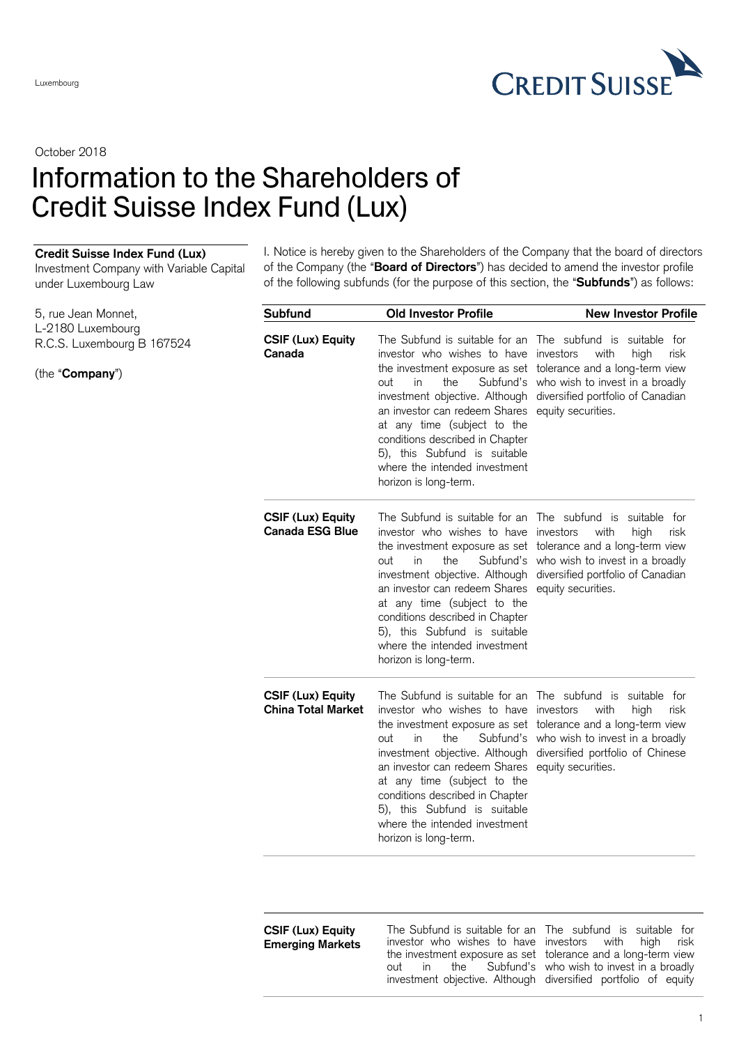

October 2018

## Information to the Shareholders of Credit Suisse Index Fund (Lux)

## **Credit Suisse Index Fund (Lux)**

Investment Company with Variable Capital under Luxembourg Law

I. Notice is hereby given to the Shareholders of the Company that the board of directors of the Company (the "**Board of Directors**") has decided to amend the investor profile of the following subfunds (for the purpose of this section, the "**Subfunds**") as follows:

| 5, rue Jean Monnet,<br>L-2180 Luxembourg<br>R.C.S. Luxembourg B 167524<br>(the "Company") | Subfund                                               | <b>Old Investor Profile</b>                                                                                                                                                                                                                                                | <b>New Investor Profile</b>                                                                                                                                                                                                                                          |
|-------------------------------------------------------------------------------------------|-------------------------------------------------------|----------------------------------------------------------------------------------------------------------------------------------------------------------------------------------------------------------------------------------------------------------------------------|----------------------------------------------------------------------------------------------------------------------------------------------------------------------------------------------------------------------------------------------------------------------|
|                                                                                           | <b>CSIF (Lux) Equity</b><br>Canada                    | investor who wishes to have investors<br>out<br>in<br>the<br>an investor can redeem Shares equity securities.<br>at any time (subject to the<br>conditions described in Chapter<br>5), this Subfund is suitable<br>where the intended investment<br>horizon is long-term.  | The Subfund is suitable for an The subfund is suitable for<br>with<br>high<br>risk<br>the investment exposure as set tolerance and a long-term view<br>Subfund's who wish to invest in a broadly<br>investment objective. Although diversified portfolio of Canadian |
|                                                                                           | <b>CSIF (Lux) Equity</b><br><b>Canada ESG Blue</b>    | investor who wishes to have investors<br>out<br>in<br>the<br>an investor can redeem Shares equity securities.<br>at any time (subject to the<br>conditions described in Chapter<br>5), this Subfund is suitable<br>where the intended investment<br>horizon is long-term.  | The Subfund is suitable for an The subfund is suitable for<br>with<br>high<br>risk<br>the investment exposure as set tolerance and a long-term view<br>Subfund's who wish to invest in a broadly<br>investment objective. Although diversified portfolio of Canadian |
|                                                                                           | <b>CSIF (Lux) Equity</b><br><b>China Total Market</b> | investor who wishes to have investors<br>out<br>the<br>in.<br>an investor can redeem Shares equity securities.<br>at any time (subject to the<br>conditions described in Chapter<br>5), this Subfund is suitable<br>where the intended investment<br>horizon is long-term. | The Subfund is suitable for an The subfund is suitable for<br>with<br>high<br>risk<br>the investment exposure as set tolerance and a long-term view<br>Subfund's who wish to invest in a broadly<br>investment objective. Although diversified portfolio of Chinese  |

## **CSIF (Lux) Equity Emerging Markets**

The Subfund is suitable for an The subfund is suitable for investor who wishes to have investors with high risk the investment exposure as set tolerance and a long-term view out in the Subfund's who wish to invest in a broadly investment objective. Although diversified portfolio of equity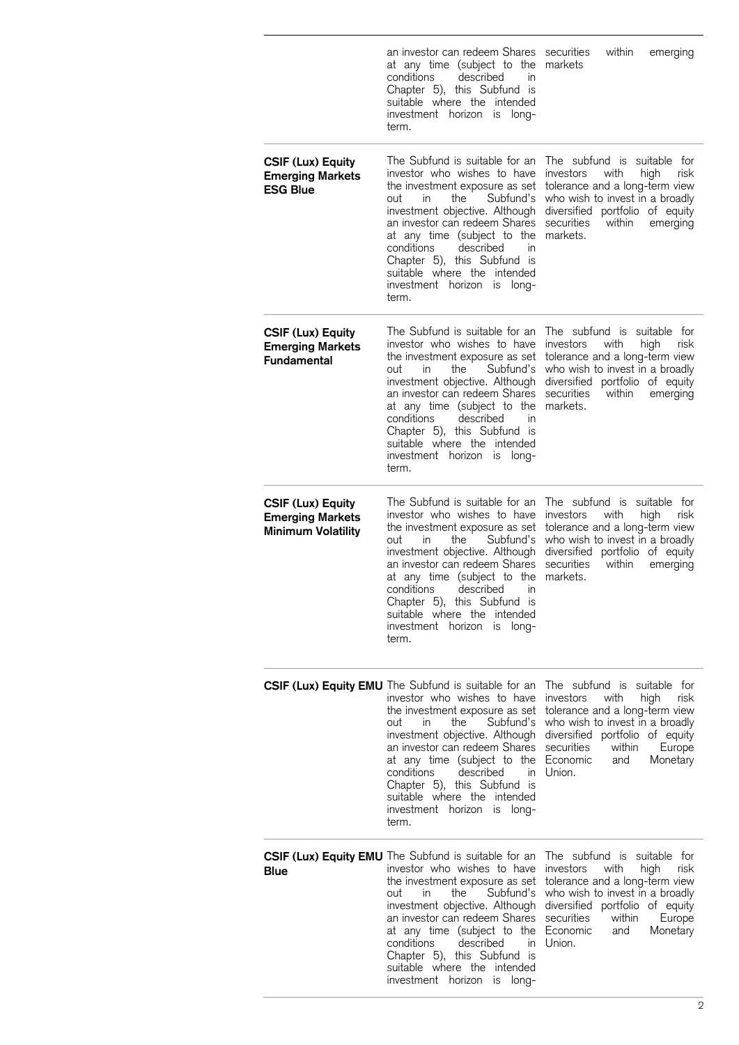|                                                                                  | an investor can redeem Shares securities<br>at any time (subject to the<br>conditions<br>described<br>$\mathsf{I}$<br>Chapter 5), this Subfund is<br>suitable where the intended<br>investment horizon<br>long-<br>IS<br>term.                                                                                                                                                                             | within<br>emerging<br>markets                                                                                                                                                                                                                     |
|----------------------------------------------------------------------------------|------------------------------------------------------------------------------------------------------------------------------------------------------------------------------------------------------------------------------------------------------------------------------------------------------------------------------------------------------------------------------------------------------------|---------------------------------------------------------------------------------------------------------------------------------------------------------------------------------------------------------------------------------------------------|
| <b>CSIF (Lux) Equity</b><br><b>Emerging Markets</b><br><b>ESG Blue</b>           | The Subfund is suitable for an<br>investor who wishes to have<br>the investment exposure as set<br>Subfund's<br>out<br>in.<br>the<br>investment objective. Although<br>an investor can redeem Shares<br>at any time (subject to the<br>conditions<br>described<br>in<br>Chapter 5), this Subfund is<br>suitable where the intended<br>investment horizon<br>is long-<br>term.                              | The subfund is suitable for<br><i>investors</i><br>with<br>high<br>risk<br>tolerance and a long-term view<br>who wish to invest in a broadly<br>diversified portfolio of equity<br>securities<br>within<br>emerging<br>markets.                   |
| <b>CSIF (Lux) Equity</b><br><b>Emerging Markets</b><br><b>Fundamental</b>        | The Subfund is suitable for an<br>investor who wishes to have<br>the investment exposure as set<br>Subfund's<br>out<br>in.<br>the<br>investment objective. Although<br>an investor can redeem Shares<br>at any time (subject to the<br>conditions<br>described<br>in<br>Chapter 5), this Subfund is<br>suitable where the intended<br>investment horizon is long-<br>term.                                 | The subfund is suitable for<br>with<br><i>investors</i><br>high<br>risk<br>tolerance and a long-term view<br>who wish to invest in a broadly<br>diversified portfolio of equity<br>securities<br>within<br>emerging<br>markets.                   |
| <b>CSIF (Lux) Equity</b><br><b>Emerging Markets</b><br><b>Minimum Volatility</b> | The Subfund is suitable for an<br>investor who wishes to have<br>the investment exposure as set<br>Subfund's<br>out<br>in<br>the<br>investment objective. Although<br>an investor can redeem Shares<br>at any time (subject to the<br>conditions<br>described<br>in<br>Chapter 5), this Subfund is<br>suitable where the intended<br>investment horizon is long-<br>term.                                  | The subfund is suitable for<br>with<br>investors<br>high<br>risk<br>tolerance and a long-term view<br>who wish to invest in a broadly<br>diversified portfolio of equity<br>securities<br>within<br>emerging<br>markets.                          |
|                                                                                  | CSIF (Lux) Equity EMU The Subfund is suitable for an<br>investor who wishes to have<br>the investment exposure as set<br>out<br>the<br>in<br>investment objective. Although<br>an investor can redeem Shares<br>at any time (subject to the Economic<br>described<br>conditions<br>in.<br>Chapter 5), this Subfund is<br>suitable where the intended<br>investment horizon<br>is long-<br>term.            | The subfund is suitable for<br>investors<br>with<br>high<br>risk<br>tolerance and a long-term view<br>Subfund's who wish to invest in a broadly<br>diversified portfolio of equity<br>securities<br>within<br>Europe<br>Monetary<br>and<br>Union. |
| Blue                                                                             | CSIF (Lux) Equity EMU The Subfund is suitable for an<br>investor who wishes to have<br>the investment exposure as set<br>the<br>Subfund's<br>out<br><i>in</i><br>investment objective. Although<br>an investor can redeem Shares<br>at any time (subject to the Economic<br>conditions<br>described<br>in.<br>Chapter 5), this Subfund is<br>suitable where the intended<br>investment horizon<br>is long- | The subfund is suitable for<br>investors<br>with<br>high<br>risk<br>tolerance and a long-term view<br>who wish to invest in a broadly<br>diversified portfolio of equity<br>securities<br>within<br>Europe<br>and<br>Monetary<br>Union.           |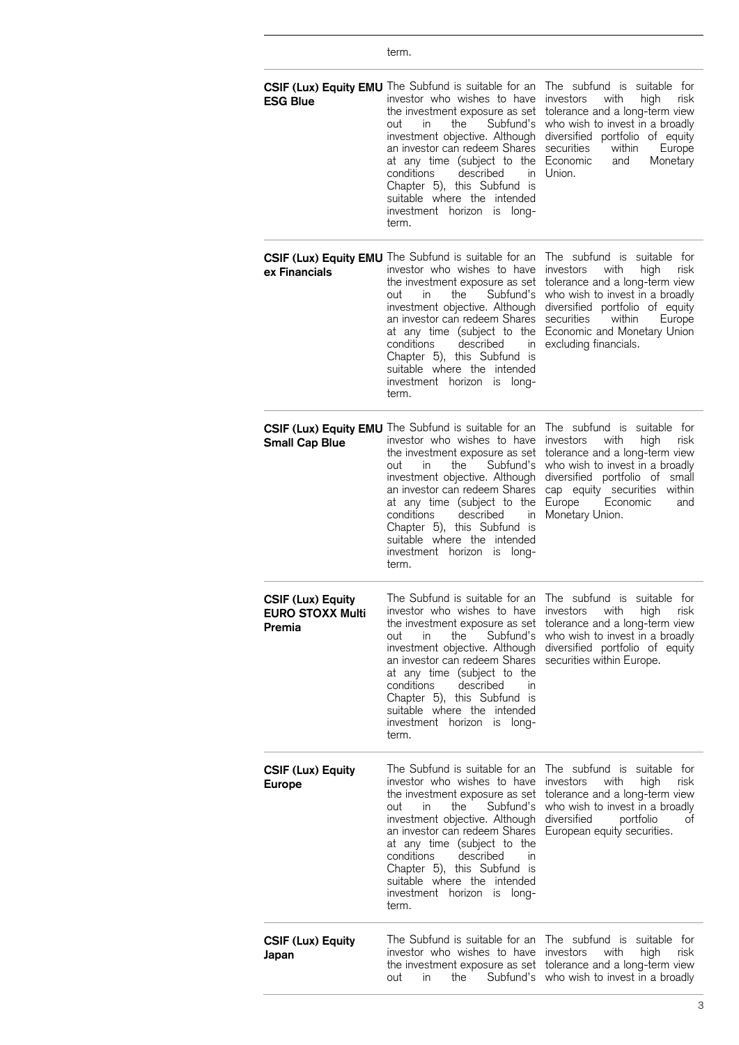|                                                               | term.                                                                                                                                                                                                                                                                                                                                                                                                   |                                                                                                                                                                                                                                                                    |
|---------------------------------------------------------------|---------------------------------------------------------------------------------------------------------------------------------------------------------------------------------------------------------------------------------------------------------------------------------------------------------------------------------------------------------------------------------------------------------|--------------------------------------------------------------------------------------------------------------------------------------------------------------------------------------------------------------------------------------------------------------------|
| <b>ESG Blue</b>                                               | CSIF (Lux) Equity EMU The Subfund is suitable for an<br>investor who wishes to have<br>the investment exposure as set<br>Subfund's<br>out<br>in.<br>the<br>investment objective. Although<br>an investor can redeem Shares<br>at any time (subject to the<br>described<br>conditions<br>in.<br>Chapter 5), this Subfund is<br>suitable where the intended<br>investment horizon<br>is<br>long-<br>term. | The subfund is suitable for<br>investors<br>with<br>high<br>risk<br>tolerance and a long-term view<br>who wish to invest in a broadly<br>diversified portfolio of equity<br>securities<br>within<br>Europe<br>Economic<br>Monetary<br>and<br>Union.                |
| ex Financials                                                 | CSIF (Lux) Equity EMU The Subfund is suitable for an<br>investor who wishes to have<br>the investment exposure as set<br>Subfund's<br>the<br>out<br>in.<br>investment objective. Although<br>an investor can redeem Shares<br>at any time (subject to the<br>conditions<br>described<br>in<br>Chapter 5), this Subfund is<br>suitable where the intended<br>investment horizon is long-<br>term.        | The subfund is suitable for<br>risk<br>investors<br>with<br>high<br>tolerance and a long-term view<br>who wish to invest in a broadly<br>diversified portfolio of equity<br>securities<br>within<br>Europe<br>Economic and Monetary Union<br>excluding financials. |
| <b>Small Cap Blue</b>                                         | CSIF (Lux) Equity EMU The Subfund is suitable for an<br>investor who wishes to have<br>the investment exposure as set<br>out<br>the<br>Subfund's<br>in.<br>investment objective. Although<br>an investor can redeem Shares<br>at any time (subject to the<br>conditions<br>described<br>in<br>Chapter 5), this Subfund is<br>suitable where the intended<br>investment horizon<br>long-<br>IS<br>term.  | The subfund is suitable for<br>risk<br>investors<br>with<br>high<br>tolerance and a long-term view<br>who wish to invest in a broadly<br>diversified portfolio of small<br>cap equity securities<br>within<br>Economic<br>Europe<br>and<br>Monetary Union.         |
| <b>CSIF (Lux) Equity</b><br><b>EURO STOXX Multi</b><br>Premia | investor who wishes to have<br>the investment exposure as set<br>in.<br>the<br>Subfund's<br>out<br>investment objective. Although<br>an investor can redeem Shares<br>at any time (subject to the<br>conditions described<br>in<br>Chapter 5), this Subfund is<br>suitable where the intended<br>investment horizon is<br>long-<br>term.                                                                | The Subfund is suitable for an The subfund is suitable for<br>investors with<br>high<br>risk<br>tolerance and a long-term view<br>who wish to invest in a broadly<br>diversified portfolio of equity<br>securities within Europe.                                  |
| <b>CSIF (Lux) Equity</b><br><b>Europe</b>                     | The Subfund is suitable for an<br>investor who wishes to have<br>the investment exposure as set<br>Subfund's<br>the<br>out<br>in.<br>investment objective. Although<br>an investor can redeem Shares<br>at any time (subject to the<br>conditions described<br>in<br>Chapter 5), this Subfund is<br>suitable where the intended<br>investment horizon is long-<br>term.                                 | The subfund is suitable for<br>with high<br>investors<br>risk<br>tolerance and a long-term view<br>who wish to invest in a broadly<br>diversified<br>portfolio<br>ot<br>European equity securities.                                                                |
| <b>CSIF (Lux) Equity</b><br>Japan                             | The Subfund is suitable for an<br>investor who wishes to have<br>Subfund's<br>out<br>in.<br>the                                                                                                                                                                                                                                                                                                         | The subfund is suitable for<br>investors with<br>high<br>risk<br>the investment exposure as set tolerance and a long-term view<br>who wish to invest in a broadly                                                                                                  |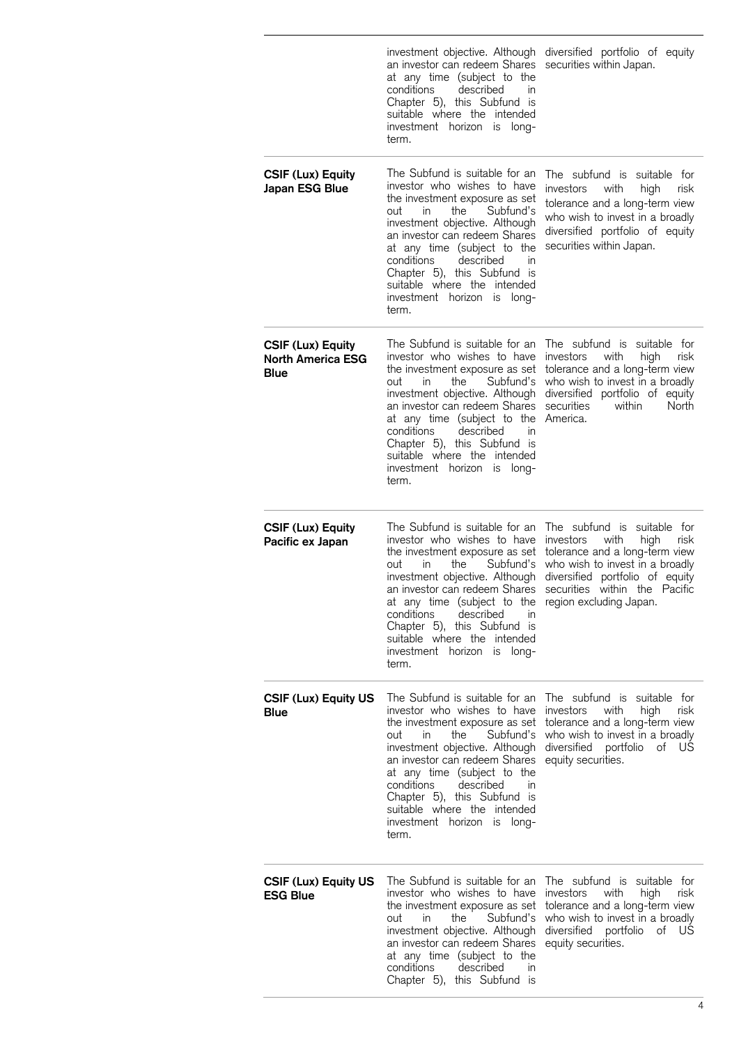|                                                       | an investor can redeem Shares<br>at any time (subject to the<br>conditions<br>described<br>in<br>Chapter 5), this Subfund is<br>suitable where the intended<br>investment horizon is long-<br>term.                                                                                                                                                                                                         | investment objective. Although diversified portfolio of equity<br>securities within Japan.                                                                                                                                   |
|-------------------------------------------------------|-------------------------------------------------------------------------------------------------------------------------------------------------------------------------------------------------------------------------------------------------------------------------------------------------------------------------------------------------------------------------------------------------------------|------------------------------------------------------------------------------------------------------------------------------------------------------------------------------------------------------------------------------|
| <b>CSIF (Lux) Equity</b><br>Japan ESG Blue            | The Subfund is suitable for an<br>investor who wishes to have<br>the investment exposure as set<br>the<br>Subfund's<br>out<br>in<br>investment objective. Although<br>an investor can redeem Shares<br>at any time (subject to the<br>conditions<br>described<br>in<br>Chapter 5), this Subfund is<br>suitable where the intended<br>investment horizon<br>is long-<br>term.                                | The subfund is suitable for<br>investors<br>with<br>high<br>risk<br>tolerance and a long-term view<br>who wish to invest in a broadly<br>diversified portfolio of equity<br>securities within Japan.                         |
| <b>CSIF (Lux) Equity</b><br>North America ESG<br>Blue | The Subfund is suitable for an<br>investor who wishes to have<br>the investment exposure as set<br>Subfund's<br>out<br>the<br><i>in</i><br>investment objective. Although<br>an investor can redeem Shares<br>at any time (subject to the<br>described<br>conditions<br>in<br>Chapter 5), this Subfund is<br>suitable where the intended<br>investment horizon<br>is long-<br>term.                         | The subfund is suitable for<br><i>investors</i><br>with<br>high<br>risk<br>tolerance and a long-term view<br>who wish to invest in a broadly<br>diversified portfolio of equity<br>securities<br>within<br>North<br>America. |
| <b>CSIF (Lux) Equity</b><br>Pacific ex Japan          | The Subfund is suitable for an<br>investor who wishes to have<br>the investment exposure as set<br>Subfund's<br>out<br>the<br><i>in</i><br>investment objective. Although<br>an investor can redeem Shares<br>at any time (subject to the region excluding Japan.<br>conditions<br>described<br>In<br>Chapter 5), this Subfund is<br>suitable where the intended<br>investment horizon<br>is long-<br>term. | The subfund is<br>suitable for<br>investors<br>with<br>high<br>risk<br>tolerance and a long-term view<br>who wish to invest in a broadly<br>diversified portfolio of equity<br>securities within the Pacific                 |
| <b>CSIF (Lux) Equity US</b><br>Blue                   | The Subfund is suitable for an<br>investor who wishes to have<br>the investment exposure as set<br>Subfund's<br>out<br><i>in</i><br>the<br>investment objective. Although<br>an investor can redeem Shares<br>at any time (subject to the<br>conditions<br>described<br>in<br>Chapter 5), this Subfund is<br>suitable where the intended<br>investment horizon is<br>-long<br>term.                         | The subfund is suitable for<br>investors<br>with<br>high<br>risk<br>tolerance and a long-term view<br>who wish to invest in a broadly<br>diversified portfolio<br>of US<br>equity securities.                                |
| <b>CSIF (Lux) Equity US</b><br>ESG Blue               | The Subfund is suitable for an<br>investor who wishes to have<br>the investment exposure as set<br>the<br>Subfund's<br>out<br>in<br>investment objective. Although<br>an investor can redeem Shares<br>at any time (subject to the<br>conditions<br>described<br>in.<br>Chapter 5), this Subfund is                                                                                                         | The subfund is suitable for<br>investors<br>with<br>high<br>risk<br>tolerance and a long-term view<br>who wish to invest in a broadly<br>diversified portfolio<br>of US<br>equity securities.                                |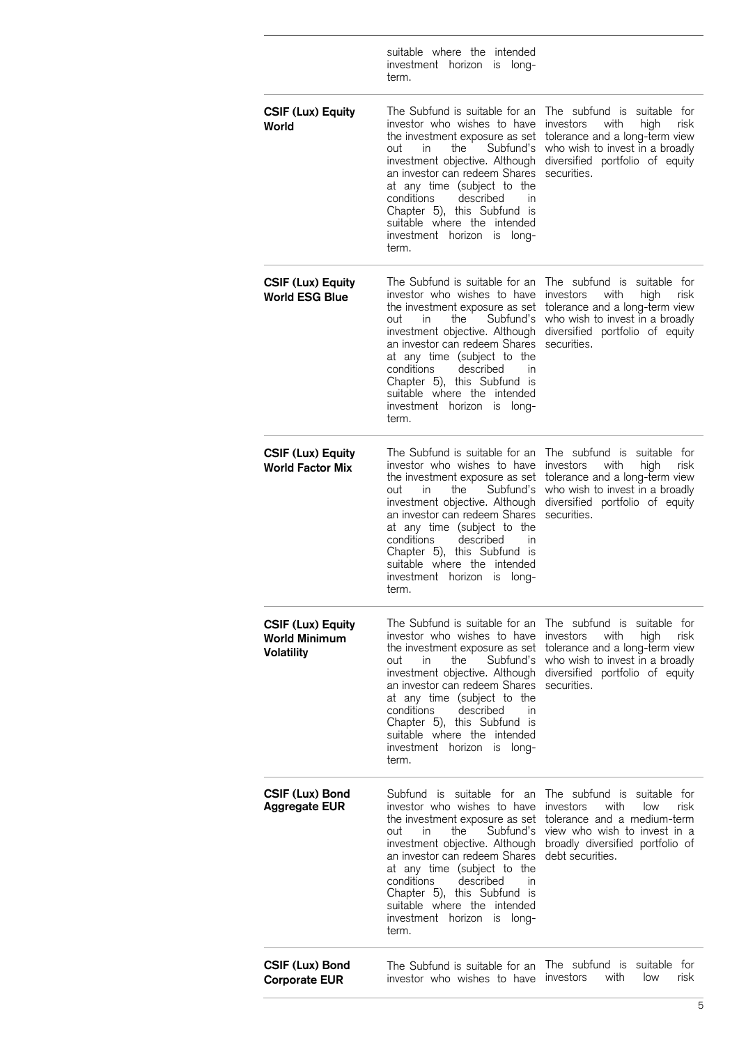|                                                                | suitable where the intended<br>investment horizon<br>is long-<br>term.                                                                                                                                                                                                                                                                                                           |                                                                                                                                                                                         |
|----------------------------------------------------------------|----------------------------------------------------------------------------------------------------------------------------------------------------------------------------------------------------------------------------------------------------------------------------------------------------------------------------------------------------------------------------------|-----------------------------------------------------------------------------------------------------------------------------------------------------------------------------------------|
| <b>CSIF (Lux) Equity</b><br>World                              | The Subfund is suitable for an<br>investor who wishes to have<br>the investment exposure as set<br>out<br>the<br>Subfund's<br>in.<br>investment objective. Although<br>an investor can redeem Shares<br>at any time (subject to the<br>conditions<br>described<br>in<br>Chapter 5), this Subfund is<br>suitable where the intended<br>investment horizon<br>long-<br>IS<br>term. | The subfund is suitable for<br>investors<br>with<br>high<br>risk<br>tolerance and a long-term view<br>who wish to invest in a broadly<br>diversified portfolio of equity<br>securities. |
| <b>CSIF (Lux) Equity</b><br><b>World ESG Blue</b>              | The Subfund is suitable for an<br>investor who wishes to have<br>the investment exposure as set<br>Subfund's<br>the<br>out<br>in.<br>investment objective. Although<br>an investor can redeem Shares<br>at any time (subject to the<br>conditions<br>described<br>in<br>Chapter 5), this Subfund is<br>suitable where the intended<br>investment horizon<br>is<br>long-<br>term. | The subfund is suitable for<br>investors<br>with<br>high<br>risk<br>tolerance and a long-term view<br>who wish to invest in a broadly<br>diversified portfolio of equity<br>securities. |
| <b>CSIF (Lux) Equity</b><br><b>World Factor Mix</b>            | The Subfund is suitable for an<br>investor who wishes to have<br>the investment exposure as set<br>out<br>Subfund's<br>in<br>the<br>investment objective. Although<br>an investor can redeem Shares<br>at any time (subject to the<br>conditions<br>described<br>In<br>Chapter 5), this Subfund is<br>suitable where the intended<br>investment horizon<br>long-<br>IS<br>term.  | The subfund is suitable for<br>investors<br>with<br>high<br>risk<br>tolerance and a long-term view<br>who wish to invest in a broadly<br>diversified portfolio of equity<br>securities. |
| <b>CSIF (Lux) Equity</b><br>World Minimum<br><b>Volatility</b> | The Subfund is suitable for an<br>investor who wishes to have<br>the investment exposure as set<br>out<br>in.<br>the<br>Subfund's<br>investment objective. Although<br>an investor can redeem Shares<br>at any time (subject to the<br>conditions<br>described<br>in<br>Chapter 5), this Subfund is<br>suitable where the intended<br>investment horizon<br>long-<br>IS<br>term. | The subfund is suitable for<br>investors<br>with<br>high<br>risk<br>tolerance and a long-term view<br>who wish to invest in a broadly<br>diversified portfolio of equity<br>securities. |
| CSIF (Lux) Bond<br><b>Aggregate EUR</b>                        | Subfund is suitable for an<br>investor who wishes to have<br>the investment exposure as set<br>Subfund's<br>out<br>the<br>in.<br>investment objective. Although<br>an investor can redeem Shares<br>at any time (subject to the<br>conditions<br>described<br>in<br>Chapter 5), this Subfund is<br>suitable where the intended<br>investment horizon<br>long-<br>is<br>term.     | The subfund is suitable for<br>investors<br>with<br>risk<br>low<br>tolerance and a medium-term<br>view who wish to invest in a<br>broadly diversified portfolio of<br>debt securities.  |
| CSIF (Lux) Bond<br><b>Corporate EUR</b>                        | The Subfund is suitable for an<br>investor who wishes to have                                                                                                                                                                                                                                                                                                                    | The subfund is suitable for<br>investors<br>with<br>low<br>risk                                                                                                                         |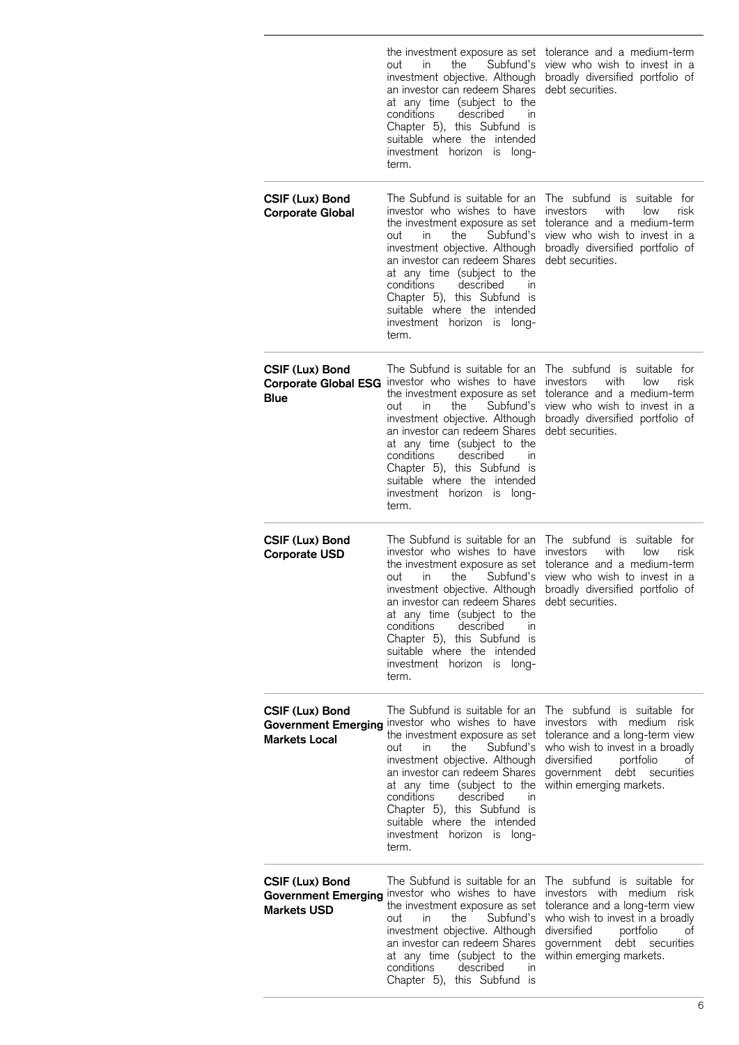|                                                              | the investment exposure as set<br>the<br>Subfund's<br>in.<br>out<br>investment objective. Although<br>an investor can redeem Shares<br>at any time (subject to the<br>conditions<br>described<br>in<br>Chapter 5), this Subfund is<br>suitable where the intended<br>investment horizon<br>is long-<br>term.                                                                                    | tolerance and a medium-term<br>view who wish to invest in a<br>broadly diversified portfolio of<br>debt securities.                                                                                                                 |
|--------------------------------------------------------------|-------------------------------------------------------------------------------------------------------------------------------------------------------------------------------------------------------------------------------------------------------------------------------------------------------------------------------------------------------------------------------------------------|-------------------------------------------------------------------------------------------------------------------------------------------------------------------------------------------------------------------------------------|
| CSIF (Lux) Bond<br><b>Corporate Global</b>                   | The Subfund is suitable for an<br>investor who wishes to have<br>the investment exposure as set<br>in.<br>the<br>Subfund's<br>out<br>investment objective. Although<br>an investor can redeem Shares<br>at any time (subject to the<br>conditions<br>described<br>$\mathsf{I}$<br>Chapter 5), this Subfund is<br>suitable where the intended<br>investment horizon is long-<br>term.            | The subfund is suitable for<br><i>investors</i><br>with<br>low<br>risk<br>tolerance and a medium-term<br>view who wish to invest in a<br>broadly diversified portfolio of<br>debt securities.                                       |
| CSIF (Lux) Bond<br>Blue                                      | The Subfund is suitable for an<br>Corporate Global ESG investor who wishes to have<br>the investment exposure as set<br>Subfund's<br>in.<br>the<br>out<br>investment objective. Although<br>an investor can redeem Shares<br>at any time (subject to the<br>conditions<br>described<br>in<br>Chapter 5), this Subfund is<br>suitable where the intended<br>investment horizon is long-<br>term. | The subfund is suitable for<br>investors<br>with<br>risk<br>low<br>tolerance and a medium-term<br>view who wish to invest in a<br>broadly diversified portfolio of<br>debt securities.                                              |
| CSIF (Lux) Bond<br><b>Corporate USD</b>                      | The Subfund is suitable for an<br>investor who wishes to have<br>the investment exposure as set<br>out<br>in<br>the<br>Subfund's<br>investment objective. Although<br>an investor can redeem Shares<br>at any time (subject to the<br>conditions<br>described<br>in<br>Chapter 5), this Subfund is<br>suitable where the intended<br>investment horizon is long-<br>term.                       | The subfund is suitable for<br>investors<br>with<br>low<br>risk<br>tolerance and a medium-term<br>view who wish to invest in a<br>broadly diversified portfolio of<br>debt securities.                                              |
| CSIF (Lux) Bond<br><b>Markets Local</b>                      | The Subfund is suitable for an<br>Government Emerging investor who wishes to have<br>the investment exposure as set<br>Subfund's<br>in.<br>the<br>out<br>investment objective. Although<br>an investor can redeem Shares<br>at any time (subject to the<br>conditions<br>described<br>in<br>Chapter 5), this Subfund is<br>suitable where the intended<br>investment horizon is long-<br>term.  | The subfund is suitable for<br>investors with medium risk<br>tolerance and a long-term view<br>who wish to invest in a broadly<br>diversitied<br>portfolio<br>ot<br>debt securities<br>government<br>within emerging markets.       |
| CSIF (Lux) Bond<br><b>Government Emerging</b><br>Markets USD | The Subfund is suitable for an<br>investor who wishes to have<br>the investment exposure as set<br>the<br>Subfund's<br>in<br>out<br>investment objective. Although<br>an investor can redeem Shares<br>at any time (subject to the<br>conditions<br>described<br>in<br>Chapter 5), this Subfund is                                                                                              | The subfund is suitable for<br>investors with medium<br>risk<br>tolerance and a long-term view<br>who wish to invest in a broadly<br>diversified<br>portfolio<br>οt<br>debt<br>government<br>securities<br>within emerging markets. |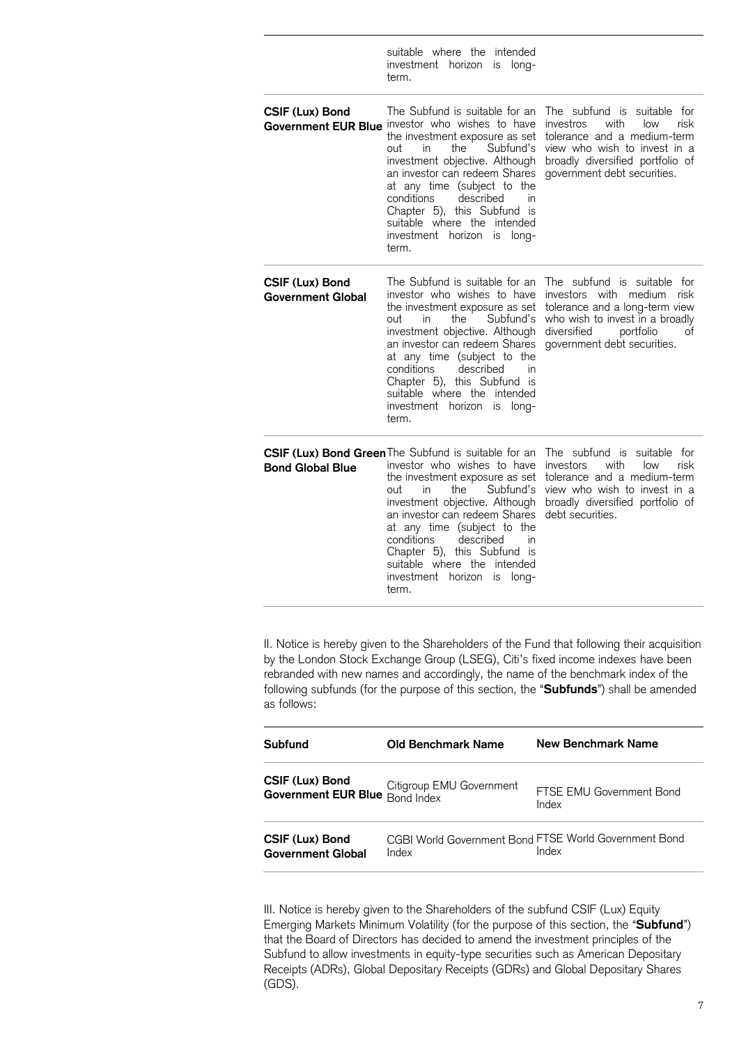|                                             | suitable where the intended<br>investment horizon<br>is long-<br>term.                                                                                                                                                                                                                                                                                                                             |                                                                                                                                                                                                       |
|---------------------------------------------|----------------------------------------------------------------------------------------------------------------------------------------------------------------------------------------------------------------------------------------------------------------------------------------------------------------------------------------------------------------------------------------------------|-------------------------------------------------------------------------------------------------------------------------------------------------------------------------------------------------------|
| CSIF (Lux) Bond                             | The Subfund is suitable for an<br>Government EUR Blue investor who wishes to have<br>the investment exposure as set<br>the<br>Subfund's<br>in<br>out<br>investment objective. Although<br>an investor can redeem Shares<br>at any time (subject to the<br>described<br>conditions<br>in<br>Chapter 5), this Subfund is<br>suitable where the intended<br>investment horizon is long-<br>term.      | The subfund is suitable for<br>investros<br>with<br>risk<br>low<br>tolerance and a medium-term<br>view who wish to invest in a<br>broadly diversified portfolio of<br>government debt securities.     |
| CSIF (Lux) Bond<br><b>Government Global</b> | The Subfund is suitable for an<br>investor who wishes to have<br>the investment exposure as set<br>out<br>the<br>Subfund's<br>in.<br>investment objective. Although<br>an investor can redeem Shares<br>at any time (subject to the<br>conditions<br>described<br>in<br>Chapter 5), this Subfund is<br>suitable where the intended<br>investment horizon<br>long-<br>IS<br>term.                   | The subfund is suitable for<br>investors with<br>medium<br>risk<br>tolerance and a long-term view<br>who wish to invest in a broadly<br>diversitied<br>portfolio<br>оt<br>government debt securities. |
| <b>Bond Global Blue</b>                     | CSIF (Lux) Bond Green The Subfund is suitable for an<br>investor who wishes to have<br>the investment exposure as set<br>Subfund's<br>in<br>the<br>out<br>investment objective. Although<br>an investor can redeem Shares<br>at any time (subject to the<br>conditions<br>described<br>in<br>Chapter 5), this Subfund is<br>suitable where the intended<br>investment horizon<br>is long-<br>term. | The subfund is suitable for<br>with<br>investors<br>low<br>risk<br>tolerance and a medium-term<br>view who wish to invest in a<br>broadly diversified portfolio of<br>debt securities.                |

II. Notice is hereby given to the Shareholders of the Fund that following their acquisition by the London Stock Exchange Group (LSEG), Citi's fixed income indexes have been rebranded with new names and accordingly, the name of the benchmark index of the following subfunds (for the purpose of this section, the "**Subfunds**") shall be amended as follows:

| Subfund                                     | Old Benchmark Name                                               | New Benchmark Name                                             |
|---------------------------------------------|------------------------------------------------------------------|----------------------------------------------------------------|
| CSIF (Lux) Bond                             | Government EUR Blue Bond Index<br>Government EUR Blue Bond Index | FTSE EMU Government Bond<br>Index                              |
| CSIF (Lux) Bond<br><b>Government Global</b> | Index                                                            | CGBI World Government Bond FTSE World Government Bond<br>Index |

III. Notice is hereby given to the Shareholders of the subfund CSIF (Lux) Equity Emerging Markets Minimum Volatility (for the purpose of this section, the "**Subfund**") that the Board of Directors has decided to amend the investment principles of the Subfund to allow investments in equity-type securities such as American Depositary Receipts (ADRs), Global Depositary Receipts (GDRs) and Global Depositary Shares (GDS).